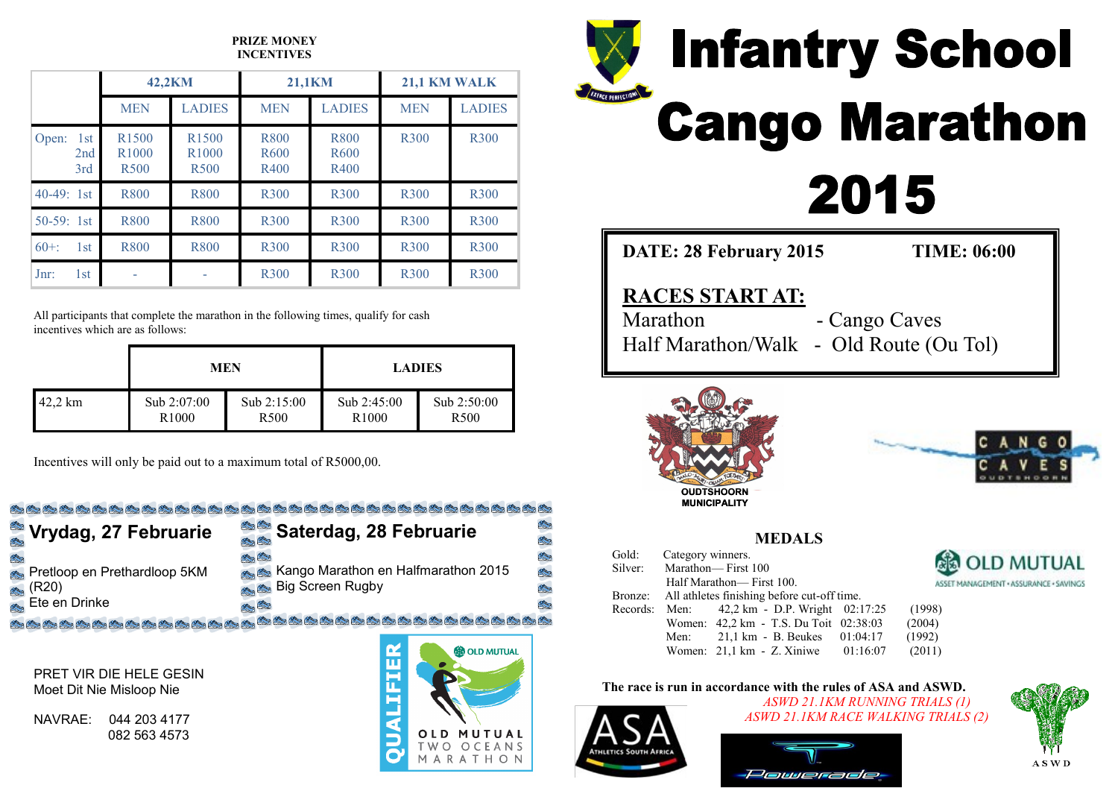## **PRIZE MONEY INCENTIVES**

|                            | 42.2KM                                                |                                                       | <b>21,1KM</b>                    |                                  | <b>21,1 KM WALK</b> |               |
|----------------------------|-------------------------------------------------------|-------------------------------------------------------|----------------------------------|----------------------------------|---------------------|---------------|
|                            | <b>MEN</b>                                            | <b>LADIES</b>                                         | <b>MEN</b>                       | <b>LADIES</b>                    | <b>MEN</b>          | <b>LADIES</b> |
| 1st<br>Open:<br>2nd<br>3rd | R <sub>1500</sub><br>R <sub>1000</sub><br><b>R500</b> | R <sub>1500</sub><br>R <sub>1000</sub><br><b>R500</b> | R800<br>R <sub>600</sub><br>R400 | R800<br>R <sub>600</sub><br>R400 | <b>R300</b>         | <b>R300</b>   |
| $40-49:1st$                | <b>R800</b>                                           | <b>R800</b>                                           | <b>R300</b>                      | <b>R300</b>                      | <b>R300</b>         | <b>R300</b>   |
| $50-59$ : 1st              | <b>R800</b>                                           | <b>R800</b>                                           | <b>R300</b>                      | <b>R300</b>                      | <b>R300</b>         | <b>R300</b>   |
| $60+$<br>1st               | <b>R800</b>                                           | <b>R800</b>                                           | <b>R300</b>                      | <b>R300</b>                      | <b>R300</b>         | <b>R300</b>   |
| $Jnr$ :<br>1st             |                                                       |                                                       | <b>R300</b>                      | <b>R300</b>                      | <b>R300</b>         | <b>R300</b>   |

All participants that complete the marathon in the following times, qualify for cash incentives which are as follows:

|         | <b>MEN</b>        |                  | <b>LADIES</b>     |                  |  |
|---------|-------------------|------------------|-------------------|------------------|--|
| 42,2 km | Sub 2:07:00       | Sub $2:15:00$    | Sub 2:45:00       | Sub 2:50:00      |  |
|         | R <sub>1000</sub> | R <sub>500</sub> | R <sub>1000</sub> | R <sub>500</sub> |  |

Incentives will only be paid out to a maximum total of R5000,00.

# **College College**

| Vrydag, 27 Februarie         | Saterdag, 28 Februarie                                     |
|------------------------------|------------------------------------------------------------|
| Pretloop en Prethardloop 5KM | <b>Alex Charles</b><br>Kango Marathon en Halfmarathon 2015 |
| (R20)                        | <b>Big Screen Rugby</b>                                    |
| Ete en Drinke                | $\mathcal{P} = \mathbb{S}$                                 |

PRET VIR DIE HELE GESIN Moet Dit Nie Misloop Nie

NAVRAE: 044 203 4177 082 563 4573





**DATE: 28 February 2015 TIME: 06:00**

# **RACES START AT:**

Marathon - Cango Caves Half Marathon/Walk - Old Route (Ou Tol)





**MEDALS**

| Gold: | Category winners.          |                                                     |  |                                        |  |  |
|-------|----------------------------|-----------------------------------------------------|--|----------------------------------------|--|--|
|       | Silver: Marathon-First 100 |                                                     |  | <b>&amp; OLD MUTUAL</b>                |  |  |
|       |                            | Half Marathon— First 100.                           |  | ASSET MANAGEMENT · ASSURANCE · SAVINGS |  |  |
|       |                            | Bronze: All athletes finishing before cut-off time. |  |                                        |  |  |
|       |                            | Records: Men: 42,2 km - D.P. Wright 02:17:25        |  | (1998)                                 |  |  |
|       |                            | Women: 42,2 km - T.S. Du Toit 02:38:03              |  | (2004)                                 |  |  |
|       | Men:                       | 21,1 km - B. Beukes $01:04:17$                      |  | (1992)                                 |  |  |
|       |                            | Women: $21.1 \text{ km} - Z$ . Xiniwe $01:16:07$    |  | (2011)                                 |  |  |

# **The race is run in accordance with the rules of ASA and ASWD.**



*ASWD 21.1KM RUNNING TRIALS (1) ASWD 21.1KM RACE WALKING TRIALS (2)*